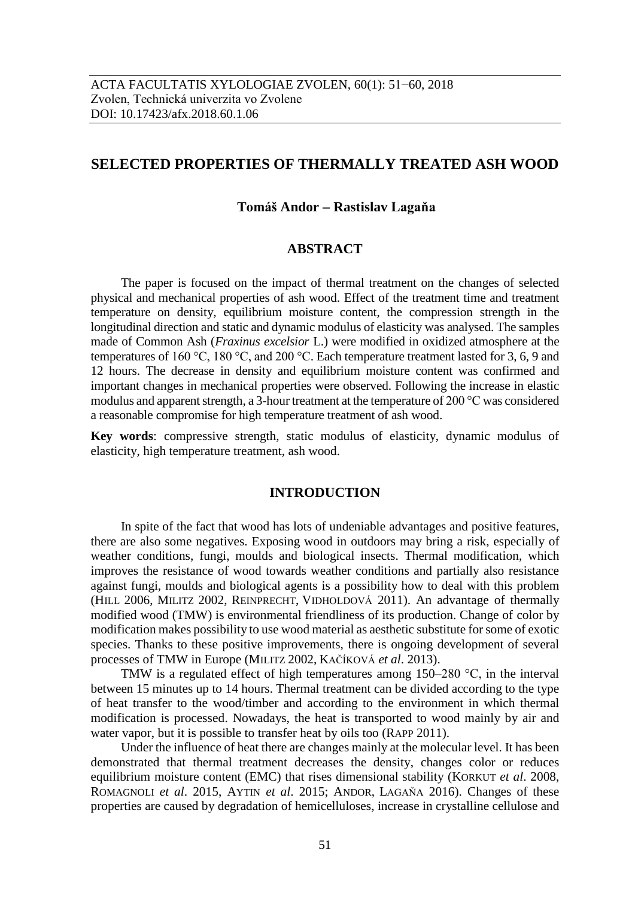# **SELECTED PROPERTIES OF THERMALLY TREATED ASH WOOD**

## **Tomáš Andor Rastislav Lagaňa**

### **ABSTRACT**

The paper is focused on the impact of thermal treatment on the changes of selected physical and mechanical properties of ash wood. Effect of the treatment time and treatment temperature on density, equilibrium moisture content, the compression strength in the longitudinal direction and static and dynamic modulus of elasticity was analysed. The samples made of Common Ash (*Fraxinus excelsior* L.) were modified in oxidized atmosphere at the temperatures of 160 °C, 180 °C, and 200 °C. Each temperature treatment lasted for 3, 6, 9 and 12 hours. The decrease in density and equilibrium moisture content was confirmed and important changes in mechanical properties were observed. Following the increase in elastic modulus and apparent strength, a 3-hour treatment at the temperature of 200 °C was considered a reasonable compromise for high temperature treatment of ash wood.

**Key words**: compressive strength, static modulus of elasticity, dynamic modulus of elasticity, high temperature treatment, ash wood.

## **INTRODUCTION**

In spite of the fact that wood has lots of undeniable advantages and positive features, there are also some negatives. Exposing wood in outdoors may bring a risk, especially of weather conditions, fungi, moulds and biological insects. Thermal modification, which improves the resistance of wood towards weather conditions and partially also resistance against fungi, moulds and biological agents is a possibility how to deal with this problem (HILL 2006, MILITZ 2002, REINPRECHT, VIDHOLDOVÁ 2011). An advantage of thermally modified wood (TMW) is environmental friendliness of its production. Change of color by modification makes possibility to use wood material as aesthetic substitute for some of exotic species. Thanks to these positive improvements, there is ongoing development of several processes of TMW in Europe (MILITZ 2002, KAČÍKOVÁ *et al*. 2013).

TMW is a regulated effect of high temperatures among 150–280 °C, in the interval between 15 minutes up to 14 hours. Thermal treatment can be divided according to the type of heat transfer to the wood/timber and according to the environment in which thermal modification is processed. Nowadays, the heat is transported to wood mainly by air and water vapor, but it is possible to transfer heat by oils too (RAPP 2011).

Under the influence of heat there are changes mainly at the molecular level. It has been demonstrated that thermal treatment decreases the density, changes color or reduces equilibrium moisture content (EMC) that rises dimensional stability (KORKUT *et al*. 2008, ROMAGNOLI *et al*. 2015, AYTIN *et al*. 2015; ANDOR, LAGAŇA 2016). Changes of these properties are caused by degradation of hemicelluloses, increase in crystalline cellulose and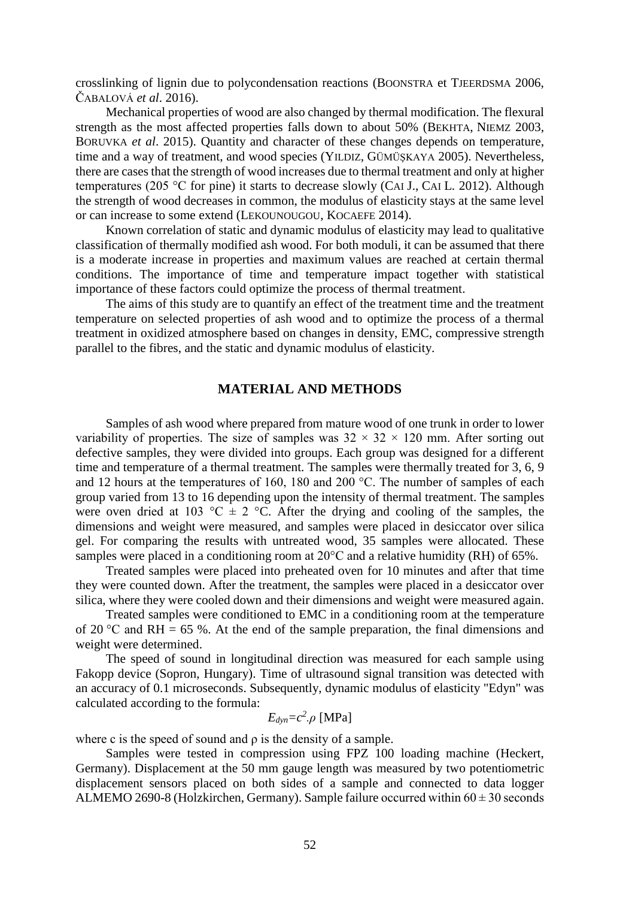crosslinking of lignin due to polycondensation reactions (BOONSTRA et TJEERDSMA 2006, ČABALOVÁ *et al*. 2016).

Mechanical properties of wood are also changed by thermal modification. The flexural strength as the most affected properties falls down to about 50% (BEKHTA, NIEMZ 2003, BORUVKA *et al*. 2015). Quantity and character of these changes depends on temperature, time and a way of treatment, and wood species (YILDIZ, GÜMÜŞKAYA 2005). Nevertheless, there are cases that the strength of wood increases due to thermal treatment and only at higher temperatures (205 °C for pine) it starts to decrease slowly (CAI J., CAI L. 2012). Although the strength of wood decreases in common, the modulus of elasticity stays at the same level or can increase to some extend (LEKOUNOUGOU, KOCAEFE 2014).

Known correlation of static and dynamic modulus of elasticity may lead to qualitative classification of thermally modified ash wood. For both moduli, it can be assumed that there is a moderate increase in properties and maximum values are reached at certain thermal conditions. The importance of time and temperature impact together with statistical importance of these factors could optimize the process of thermal treatment.

The aims of this study are to quantify an effect of the treatment time and the treatment temperature on selected properties of ash wood and to optimize the process of a thermal treatment in oxidized atmosphere based on changes in density, EMC, compressive strength parallel to the fibres, and the static and dynamic modulus of elasticity.

### **MATERIAL AND METHODS**

Samples of ash wood where prepared from mature wood of one trunk in order to lower variability of properties. The size of samples was  $32 \times 32 \times 120$  mm. After sorting out defective samples, they were divided into groups. Each group was designed for a different time and temperature of a thermal treatment. The samples were thermally treated for 3, 6, 9 and 12 hours at the temperatures of 160, 180 and 200 °C. The number of samples of each group varied from 13 to 16 depending upon the intensity of thermal treatment. The samples were oven dried at 103 °C  $\pm$  2 °C. After the drying and cooling of the samples, the dimensions and weight were measured, and samples were placed in desiccator over silica gel. For comparing the results with untreated wood, 35 samples were allocated. These samples were placed in a conditioning room at 20<sup>o</sup>C and a relative humidity (RH) of 65%.

Treated samples were placed into preheated oven for 10 minutes and after that time they were counted down. After the treatment, the samples were placed in a desiccator over silica, where they were cooled down and their dimensions and weight were measured again.

Treated samples were conditioned to EMC in a conditioning room at the temperature of 20 °C and RH = 65 %. At the end of the sample preparation, the final dimensions and weight were determined.

The speed of sound in longitudinal direction was measured for each sample using Fakopp device (Sopron, Hungary). Time of ultrasound signal transition was detected with an accuracy of 0.1 microseconds. Subsequently, dynamic modulus of elasticity "Edyn" was calculated according to the formula:

$$
E_{dyn} = c^2 \cdot \rho
$$
 [MPa]

where c is the speed of sound and  $\rho$  is the density of a sample.

Samples were tested in compression using FPZ 100 loading machine (Heckert, Germany). Displacement at the 50 mm gauge length was measured by two potentiometric displacement sensors placed on both sides of a sample and connected to data logger ALMEMO 2690-8 (Holzkirchen, Germany). Sample failure occurred within  $60 \pm 30$  seconds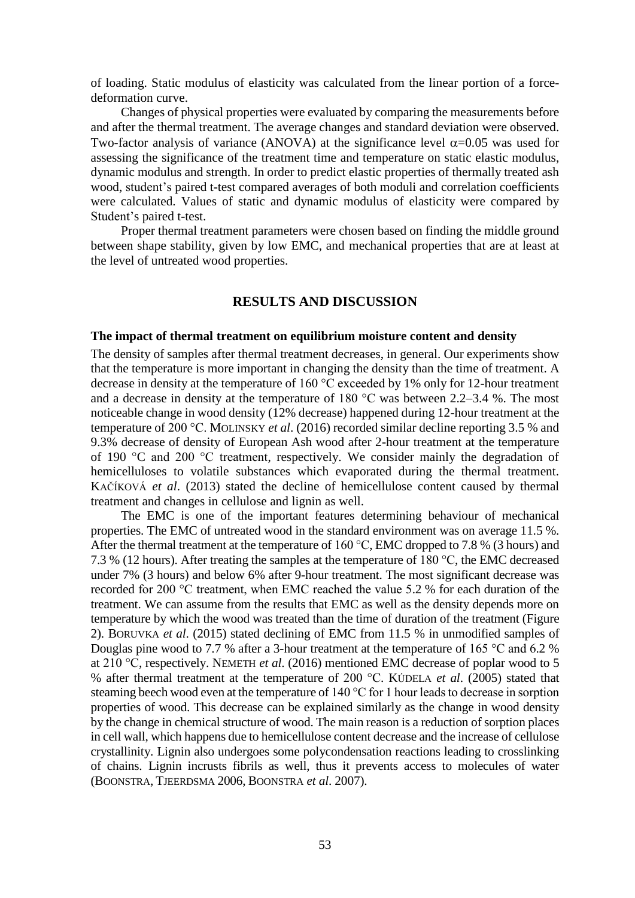of loading. Static modulus of elasticity was calculated from the linear portion of a forcedeformation curve.

Changes of physical properties were evaluated by comparing the measurements before and after the thermal treatment. The average changes and standard deviation were observed. Two-factor analysis of variance (ANOVA) at the significance level  $\alpha$ =0.05 was used for assessing the significance of the treatment time and temperature on static elastic modulus, dynamic modulus and strength. In order to predict elastic properties of thermally treated ash wood, student's paired t-test compared averages of both moduli and correlation coefficients were calculated. Values of static and dynamic modulus of elasticity were compared by Student's paired t-test.

Proper thermal treatment parameters were chosen based on finding the middle ground between shape stability, given by low EMC, and mechanical properties that are at least at the level of untreated wood properties.

## **RESULTS AND DISCUSSION**

#### **The impact of thermal treatment on equilibrium moisture content and density**

The density of samples after thermal treatment decreases, in general. Our experiments show that the temperature is more important in changing the density than the time of treatment. A decrease in density at the temperature of 160 °C exceeded by 1% only for 12-hour treatment and a decrease in density at the temperature of 180 °C was between 2.2–3.4 %. The most noticeable change in wood density (12% decrease) happened during 12-hour treatment at the temperature of 200 °C. MOLINSKY *et al*. (2016) recorded similar decline reporting 3.5 % and 9.3% decrease of density of European Ash wood after 2-hour treatment at the temperature of 190 °C and 200 °C treatment, respectively. We consider mainly the degradation of hemicelluloses to volatile substances which evaporated during the thermal treatment. KAČÍKOVÁ *et al*. (2013) stated the decline of hemicellulose content caused by thermal treatment and changes in cellulose and lignin as well.

The EMC is one of the important features determining behaviour of mechanical properties. The EMC of untreated wood in the standard environment was on average 11.5 %. After the thermal treatment at the temperature of 160 °C, EMC dropped to 7.8 % (3 hours) and 7.3 % (12 hours). After treating the samples at the temperature of 180 °C, the EMC decreased under 7% (3 hours) and below 6% after 9-hour treatment. The most significant decrease was recorded for 200 °C treatment, when EMC reached the value 5.2 % for each duration of the treatment. We can assume from the results that EMC as well as the density depends more on temperature by which the wood was treated than the time of duration of the treatment (Figure 2). BORUVKA *et al*. (2015) stated declining of EMC from 11.5 % in unmodified samples of Douglas pine wood to 7.7 % after a 3-hour treatment at the temperature of 165 °C and 6.2 % at 210 °C, respectively. NEMETH *et al*. (2016) mentioned EMC decrease of poplar wood to 5 % after thermal treatment at the temperature of 200 °C. KÚDELA *et al*. (2005) stated that steaming beech wood even at the temperature of 140 °C for 1 hour leads to decrease in sorption properties of wood. This decrease can be explained similarly as the change in wood density by the change in chemical structure of wood. The main reason is a reduction of sorption places in cell wall, which happens due to hemicellulose content decrease and the increase of cellulose crystallinity. Lignin also undergoes some polycondensation reactions leading to crosslinking of chains. Lignin incrusts fibrils as well, thus it prevents access to molecules of water (BOONSTRA, TJEERDSMA 2006, BOONSTRA *et al*. 2007).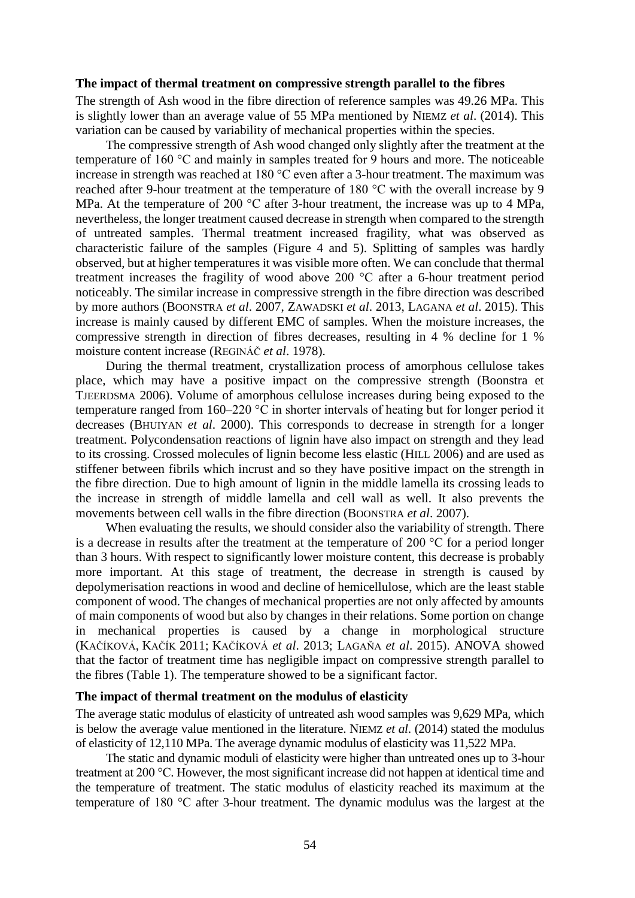### **The impact of thermal treatment on compressive strength parallel to the fibres**

The strength of Ash wood in the fibre direction of reference samples was 49.26 MPa. This is slightly lower than an average value of 55 MPa mentioned by NIEMZ *et al*. (2014). This variation can be caused by variability of mechanical properties within the species.

The compressive strength of Ash wood changed only slightly after the treatment at the temperature of 160 °C and mainly in samples treated for 9 hours and more. The noticeable increase in strength was reached at 180 °C even after a 3-hour treatment. The maximum was reached after 9-hour treatment at the temperature of 180 °C with the overall increase by 9 MPa. At the temperature of 200 °C after 3-hour treatment, the increase was up to 4 MPa, nevertheless, the longer treatment caused decrease in strength when compared to the strength of untreated samples. Thermal treatment increased fragility, what was observed as characteristic failure of the samples (Figure 4 and 5). Splitting of samples was hardly observed, but at higher temperatures it was visible more often. We can conclude that thermal treatment increases the fragility of wood above 200 °C after a 6-hour treatment period noticeably. The similar increase in compressive strength in the fibre direction was described by more authors (BOONSTRA *et al*. 2007, ZAWADSKI *et al*. 2013, LAGANA *et al*. 2015). This increase is mainly caused by different EMC of samples. When the moisture increases, the compressive strength in direction of fibres decreases, resulting in 4 % decline for 1 % moisture content increase (REGINÁČ *et al*. 1978).

During the thermal treatment, crystallization process of amorphous cellulose takes place, which may have a positive impact on the compressive strength (Boonstra et TJEERDSMA 2006). Volume of amorphous cellulose increases during being exposed to the temperature ranged from 160–220 °C in shorter intervals of heating but for longer period it decreases (BHUIYAN *et al*. 2000). This corresponds to decrease in strength for a longer treatment. Polycondensation reactions of lignin have also impact on strength and they lead to its crossing. Crossed molecules of lignin become less elastic (HILL 2006) and are used as stiffener between fibrils which incrust and so they have positive impact on the strength in the fibre direction. Due to high amount of lignin in the middle lamella its crossing leads to the increase in strength of middle lamella and cell wall as well. It also prevents the movements between cell walls in the fibre direction (BOONSTRA *et al*. 2007).

When evaluating the results, we should consider also the variability of strength. There is a decrease in results after the treatment at the temperature of 200 °C for a period longer than 3 hours. With respect to significantly lower moisture content, this decrease is probably more important. At this stage of treatment, the decrease in strength is caused by depolymerisation reactions in wood and decline of hemicellulose, which are the least stable component of wood. The changes of mechanical properties are not only affected by amounts of main components of wood but also by changes in their relations. Some portion on change in mechanical properties is caused by a change in morphological structure (KAČÍKOVÁ, KAČÍK 2011; KAČÍKOVÁ *et al*. 2013; LAGAŇA *et al*. 2015). ANOVA showed that the factor of treatment time has negligible impact on compressive strength parallel to the fibres (Table 1). The temperature showed to be a significant factor.

#### **The impact of thermal treatment on the modulus of elasticity**

The average static modulus of elasticity of untreated ash wood samples was 9,629 MPa, which is below the average value mentioned in the literature. NIEMZ *et al*. (2014) stated the modulus of elasticity of 12,110 MPa. The average dynamic modulus of elasticity was 11,522 MPa.

The static and dynamic moduli of elasticity were higher than untreated ones up to 3-hour treatment at 200 °C. However, the most significant increase did not happen at identical time and the temperature of treatment. The static modulus of elasticity reached its maximum at the temperature of 180 °C after 3-hour treatment. The dynamic modulus was the largest at the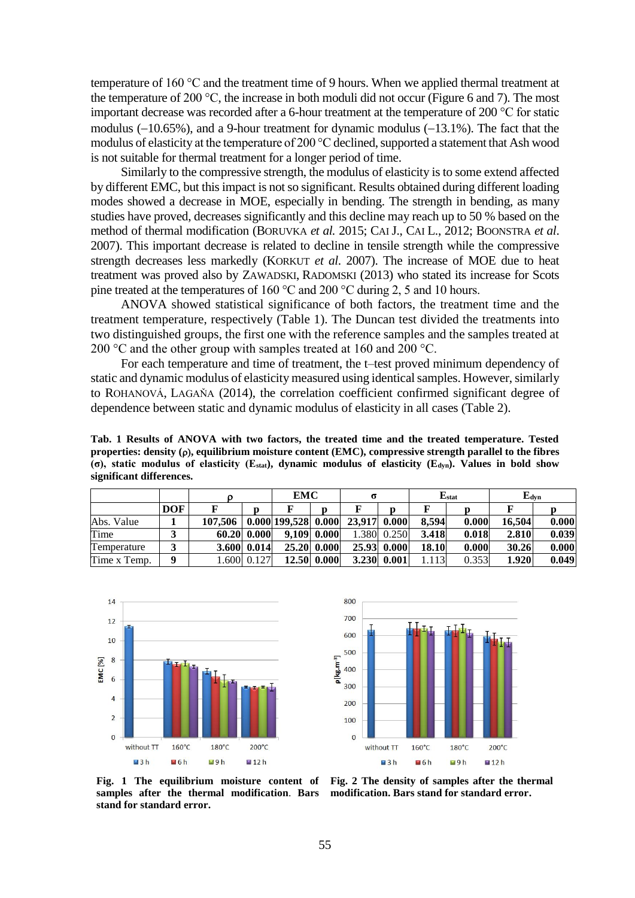temperature of 160 °C and the treatment time of 9 hours. When we applied thermal treatment at the temperature of 200 °C, the increase in both moduli did not occur (Figure 6 and 7). The most important decrease was recorded after a 6-hour treatment at the temperature of 200 °C for static modulus  $(-10.65\%)$ , and a 9-hour treatment for dynamic modulus  $(-13.1\%)$ . The fact that the modulus of elasticity at the temperature of 200  $^{\circ}$ C declined, supported a statement that Ash wood is not suitable for thermal treatment for a longer period of time.

Similarly to the compressive strength, the modulus of elasticity is to some extend affected by different EMC, but this impact is not so significant. Results obtained during different loading modes showed a decrease in MOE, especially in bending. The strength in bending, as many studies have proved, decreases significantly and this decline may reach up to 50 % based on the method of thermal modification (BORUVKA *et al.* 2015; CAIJ., CAI L., 2012; BOONSTRA *et al*. 2007). This important decrease is related to decline in tensile strength while the compressive strength decreases less markedly (KORKUT *et al*. 2007). The increase of MOE due to heat treatment was proved also by ZAWADSKI, RADOMSKI (2013) who stated its increase for Scots pine treated at the temperatures of 160 °C and 200 °C during 2, 5 and 10 hours.

ANOVA showed statistical significance of both factors, the treatment time and the treatment temperature, respectively (Table 1). The Duncan test divided the treatments into two distinguished groups, the first one with the reference samples and the samples treated at 200 °C and the other group with samples treated at 160 and 200 °C.

For each temperature and time of treatment, the t–test proved minimum dependency of static and dynamic modulus of elasticity measured using identical samples. However, similarly to ROHANOVÁ, LAGAŇA (2014), the correlation coefficient confirmed significant degree of dependence between static and dynamic modulus of elasticity in all cases (Table 2).

**Tab. 1 Results of ANOVA with two factors, the treated time and the treated temperature. Tested properties:** density  $(\rho)$ , equilibrium moisture content (EMC), compressive strength parallel to the fibres **(σ), static modulus of elasticity (Estat), dynamic modulus of elasticity (Edyn). Values in bold show significant differences.**

|              |          |         |                  | <b>EMC</b>          |             | σ            |             | $Estat$ |       | ${\bf E}$ dvn |       |
|--------------|----------|---------|------------------|---------------------|-------------|--------------|-------------|---------|-------|---------------|-------|
|              | DOF      |         |                  |                     | n           |              |             |         |       |               |       |
| Abs. Value   |          | 107.506 |                  | 0.000 199,528 0.000 |             | 23.917 0.000 |             | 8.594   | 0.000 | 16.504        | 0.000 |
| Time         |          |         | 60.20 0.000      |                     | 9,109 0.000 |              | 1.380 0.250 | 3.418   | 0.018 | 2.810         | 0.039 |
| Temperature  |          |         | $3.600 \, 0.014$ |                     | 25.20 0.000 |              | 25.93 0.000 | 18.10   | 0.000 | 30.26         | 0.000 |
| Time x Temp. | $\bf{0}$ |         | 1.600 0.127      |                     | 12.50 0.000 |              | 3.230 0.001 | 1.113   | 0.353 | 1.920         | 0.049 |





**Fig. 1 The equilibrium moisture content of samples after the thermal modification**. **Bars stand for standard error.**

**Fig. 2 The density of samples after the thermal modification. Bars stand for standard error.**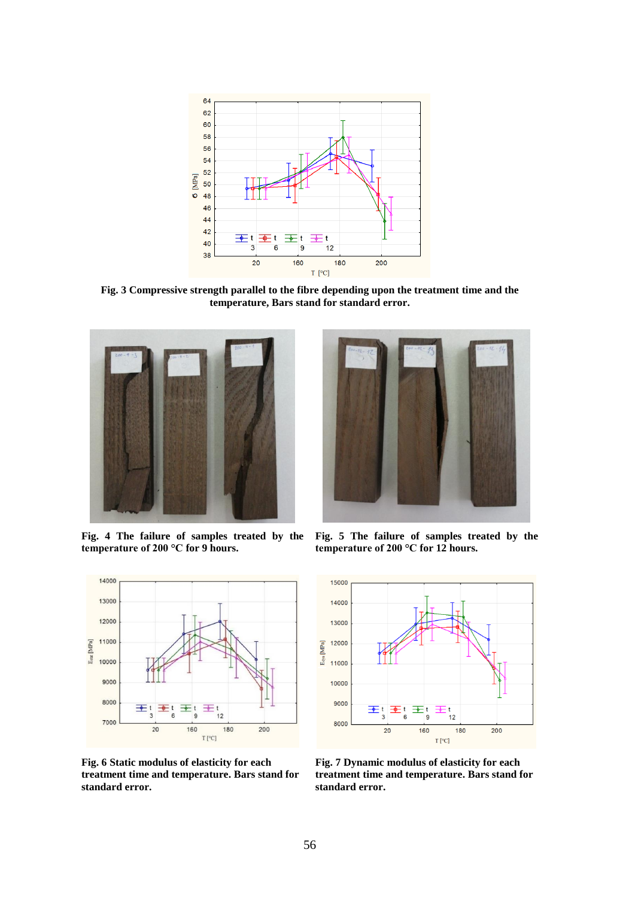

**Fig. 3 Compressive strength parallel to the fibre depending upon the treatment time and the temperature, Bars stand for standard error.**



**Fig. 4 The failure of samples treated by the temperature of 200 °C for 9 hours.**



**Fig. 6 Static modulus of elasticity for each treatment time and temperature. Bars stand for standard error.**



**Fig. 5 The failure of samples treated by the temperature of 200 °C for 12 hours.**



**Fig. 7 Dynamic modulus of elasticity for each treatment time and temperature. Bars stand for standard error.**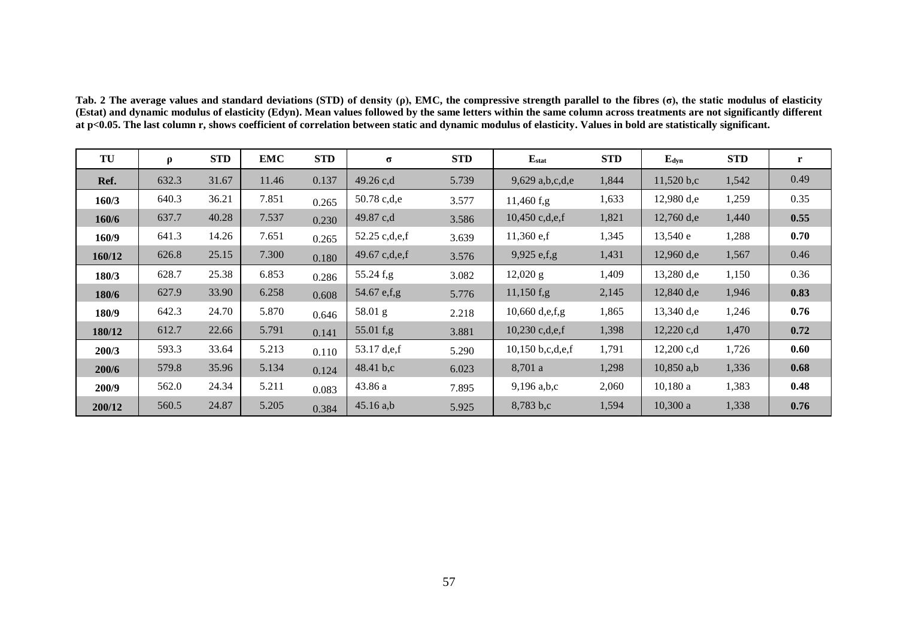**Tab. 2 The average values and standard deviations (STD) of density (ρ), EMC, the compressive strength parallel to the fibres (σ), the static modulus of elasticity (Estat) and dynamic modulus of elasticity (Edyn). Mean values followed by the same letters within the same column across treatments are not significantly different at p<0.05. The last column r, shows coefficient of correlation between static and dynamic modulus of elasticity. Values in bold are statistically significant.**

| TU     | $\rho$ | <b>STD</b> | <b>EMC</b> | <b>STD</b> | $\sigma$        | <b>STD</b> | $E_{stat}$         | <b>STD</b> | $E_{dyn}$    | <b>STD</b> | r    |
|--------|--------|------------|------------|------------|-----------------|------------|--------------------|------------|--------------|------------|------|
| Ref.   | 632.3  | 31.67      | 11.46      | 0.137      | 49.26 c,d       | 5.739      | $9,629$ a,b,c,d,e  | 1,844      | 11,520 b,c   | 1,542      | 0.49 |
| 160/3  | 640.3  | 36.21      | 7.851      | 0.265      | 50.78 c,d,e     | 3.577      | $11,460$ f,g       | 1,633      | $12,980$ d,e | 1,259      | 0.35 |
| 160/6  | 637.7  | 40.28      | 7.537      | 0.230      | 49.87 c,d       | 3.586      | $10,450$ c,d,e,f   | 1,821      | $12,760$ d,e | 1,440      | 0.55 |
| 160/9  | 641.3  | 14.26      | 7.651      | 0.265      | 52.25 c,d,e,f   | 3.639      | $11,360$ e,f       | 1,345      | 13,540e      | 1,288      | 0.70 |
| 160/12 | 626.8  | 25.15      | 7.300      | 0.180      | 49.67 $c,d,e,f$ | 3.576      | $9,925$ e,f,g      | 1,431      | $12,960$ d,e | 1,567      | 0.46 |
| 180/3  | 628.7  | 25.38      | 6.853      | 0.286      | $55.24$ f,g     | 3.082      | $12,020 \text{ g}$ | 1,409      | $13,280$ d,e | 1,150      | 0.36 |
| 180/6  | 627.9  | 33.90      | 6.258      | 0.608      | 54.67 e,f,g     | 5.776      | $11,150$ f,g       | 2,145      | $12,840$ d,e | 1,946      | 0.83 |
| 180/9  | 642.3  | 24.70      | 5.870      | 0.646      | 58.01 g         | 2.218      | 10,660 $d,e,f,g$   | 1,865      | 13,340 d,e   | 1,246      | 0.76 |
| 180/12 | 612.7  | 22.66      | 5.791      | 0.141      | 55.01 f,g       | 3.881      | $10,230$ c,d,e,f   | 1,398      | $12,220$ c,d | 1,470      | 0.72 |
| 200/3  | 593.3  | 33.64      | 5.213      | 0.110      | 53.17 d,e,f     | 5.290      | 10,150 b,c,d,e,f   | 1,791      | $12,200$ c,d | 1,726      | 0.60 |
| 200/6  | 579.8  | 35.96      | 5.134      | 0.124      | 48.41 $b, c$    | 6.023      | 8,701 a            | 1,298      | $10,850$ a,b | 1,336      | 0.68 |
| 200/9  | 562.0  | 24.34      | 5.211      | 0.083      | 43.86 a         | 7.895      | $9,196$ a,b,c      | 2,060      | 10,180a      | 1,383      | 0.48 |
| 200/12 | 560.5  | 24.87      | 5.205      | 0.384      | $45.16$ a,b     | 5.925      | 8,783 b,c          | 1,594      | $10,300$ a   | 1,338      | 0.76 |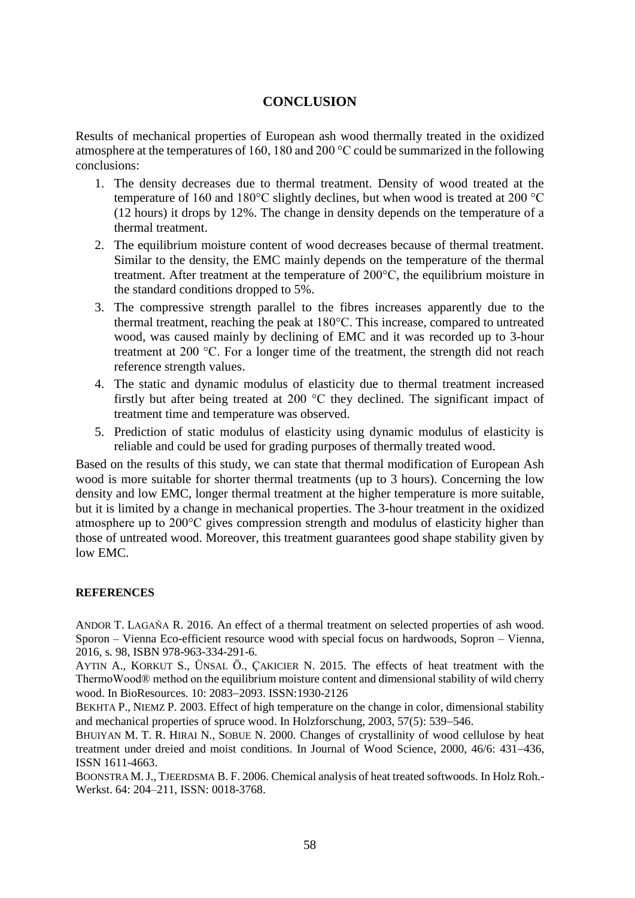# **CONCLUSION**

Results of mechanical properties of European ash wood thermally treated in the oxidized atmosphere at the temperatures of 160, 180 and 200 °C could be summarized in the following conclusions:

- 1. The density decreases due to thermal treatment. Density of wood treated at the temperature of 160 and 180°C slightly declines, but when wood is treated at 200 °C (12 hours) it drops by 12%. The change in density depends on the temperature of a thermal treatment.
- 2. The equilibrium moisture content of wood decreases because of thermal treatment. Similar to the density, the EMC mainly depends on the temperature of the thermal treatment. After treatment at the temperature of 200°C, the equilibrium moisture in the standard conditions dropped to 5%.
- 3. The compressive strength parallel to the fibres increases apparently due to the thermal treatment, reaching the peak at 180°C. This increase, compared to untreated wood, was caused mainly by declining of EMC and it was recorded up to 3-hour treatment at 200 °C. For a longer time of the treatment, the strength did not reach reference strength values.
- 4. The static and dynamic modulus of elasticity due to thermal treatment increased firstly but after being treated at 200 °C they declined. The significant impact of treatment time and temperature was observed.
- 5. Prediction of static modulus of elasticity using dynamic modulus of elasticity is reliable and could be used for grading purposes of thermally treated wood.

Based on the results of this study, we can state that thermal modification of European Ash wood is more suitable for shorter thermal treatments (up to 3 hours). Concerning the low density and low EMC, longer thermal treatment at the higher temperature is more suitable, but it is limited by a change in mechanical properties. The 3-hour treatment in the oxidized atmosphere up to 200°C gives compression strength and modulus of elasticity higher than those of untreated wood. Moreover, this treatment guarantees good shape stability given by low EMC.

## **REFERENCES**

ANDOR T. LAGAŇA R. 2016. An effect of a thermal treatment on selected properties of ash wood. Sporon – Vienna Eco-efficient resource wood with special focus on hardwoods, Sopron – Vienna, 2016, s. 98, ISBN 978-963-334-291-6.

AYTIN A., KORKUT S., ÜNSAL Ö., ÇAKICIER N. 2015. The effects of heat treatment with the ThermoWood® method on the equilibrium moisture content and dimensional stability of wild cherry wood. In BioResources. 10: 2083-2093. ISSN:1930-2126

BEKHTA P., NIEMZ P. 2003. Effect of high temperature on the change in color, dimensional stability and mechanical properties of spruce wood. In Holzforschung,  $2003$ ,  $57(5)$ :  $539-546$ .

BHUIYAN M. T. R. HIRAI N., SOBUE N. 2000. Changes of crystallinity of wood cellulose by heat treatment under dreied and moist conditions. In Journal of Wood Science, 2000, 46/6: 431-436, ISSN 1611-4663.

BOONSTRA M.J., TJEERDSMA B. F. 2006. Chemical analysis of heat treated softwoods. In Holz Roh.- Werkst. 64: 204–211, ISSN: 0018-3768.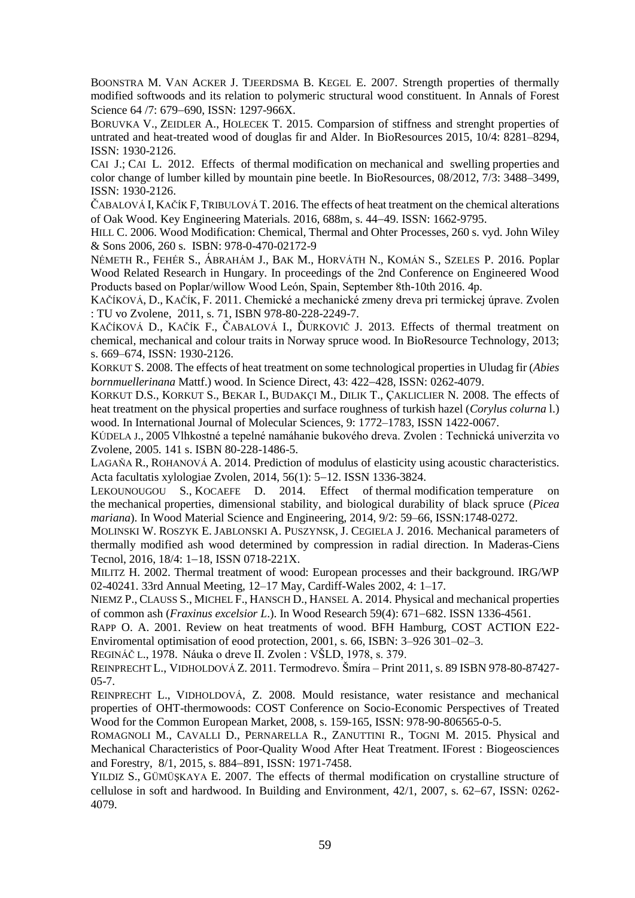BOONSTRA M. VAN ACKER J. TJEERDSMA B. KEGEL E. 2007. Strength properties of thermally modified softwoods and its relation to polymeric structural wood constituent. In Annals of Forest Science 64 /7: 679-690, ISSN: 1297-966X.

BORUVKA V., ZEIDLER A., HOLECEK T. 2015. Comparsion of stiffness and strenght properties of untrated and heat-treated wood of douglas fir and Alder. In BioResources 2015, 10/4: 8281–8294, ISSN: 1930-2126.

CAI J.; CAI L. 2012. Effects of thermal modification on mechanical and swelling properties and color change of lumber killed by mountain pine beetle. In BioResources, 08/2012, 7/3: 3488–3499, ISSN: 1930-2126.

ČABALOVÁ I, KAČÍK F, TRIBULOVÁ T. 2016. The effects of heat treatment on the chemical alterations of Oak Wood. Key Engineering Materials*.* 2016, 688m, s. 4449. ISSN: 1662-9795.

HILL C. 2006. Wood Modification: Chemical, Thermal and Ohter Processes, 260 s. vyd. John Wiley & Sons 2006, 260 s. ISBN: 978-0-470-02172-9

NÉMETH R., FEHÉR S., ÁBRAHÁM J., BAK M., HORVÁTH N., KOMÁN S., SZELES P. 2016. Poplar Wood Related Research in Hungary. In proceedings of the 2nd Conference on Engineered Wood Products based on Poplar/willow Wood León, Spain, September 8th-10th 2016. 4p.

KAČÍKOVÁ, D., KAČÍK, F. 2011. Chemické a mechanické zmeny dreva pri termickej úprave. Zvolen : TU vo Zvolene, 2011, s. 71, ISBN 978-80-228-2249-7.

KAČÍKOVÁ D., KAČÍK F., ČABALOVÁ I., ĎURKOVIČ J. 2013. Effects of thermal treatment on chemical, mechanical and colour traits in Norway spruce wood. In BioResource Technology, 2013; s. 669–674, ISSN: 1930-2126.

KORKUT S. 2008. The effects of heat treatment on some technological properties in Uludag fir (*Abies bornmuellerinana* Mattf.) wood. In Science Direct, 43: 422–428, ISSN: 0262-4079.

KORKUT D.S., KORKUT S., BEKAR I., BUDAKÇI M., DILIK T., ÇAKLICLIER N. 2008. The effects of heat treatment on the physical properties and surface roughness of turkish hazel (*Corylus colurna* l.) wood. In International Journal of Molecular Sciences, 9: 1772–1783, ISSN 1422-0067.

KÚDELA J., 2005 Vlhkostné a tepelné namáhanie bukového dreva. Zvolen : Technická univerzita vo Zvolene, 2005. 141 s. ISBN 80-228-1486-5.

LAGAŇA R., ROHANOVÁ A. 2014. Prediction of modulus of elasticity using acoustic characteristics. Acta facultatis xylologiae Zvolen, 2014, 56(1): 5-12. ISSN 1336-3824.

LEKOUNOUGOU S., KOCAEFE D. 2014. Effect of thermal modification temperature on the mechanical properties, dimensional stability, and biological durability of black spruce (*Picea mariana*). In Wood Material Science and Engineering, 2014, 9/2: 59–66, ISSN:1748-0272.

MOLINSKI W. ROSZYK E. JABLONSKI A. PUSZYNSK, J. CEGIELA J. 2016. Mechanical parameters of thermally modified ash wood determined by compression in radial direction. In Maderas-Ciens Tecnol, 2016, 18/4: 1-18, ISSN 0718-221X.

MILITZ H. 2002. Thermal treatment of wood: European processes and their background. IRG/WP 02-40241. 33rd Annual Meeting, 12–17 May, Cardiff-Wales 2002, 4: 1–17.

NIEMZ P., CLAUSS S., MICHEL F., HANSCH D., HANSEL A. 2014. Physical and mechanical properties of common ash (*Fraxinus excelsior L*.). In Wood Research 59(4): 671682. ISSN 1336-4561.

RAPP O. A. 2001. Review on heat treatments of wood. BFH Hamburg, COST ACTION E22- Enviromental optimisation of eood protection, 2001, s. 66, ISBN: 3–926 301–02–3.

REGINÁČ L., 1978. Náuka o dreve II. Zvolen : VŠLD, 1978, s. 379.

REINPRECHT L., VIDHOLDOVÁ Z. 2011. Termodrevo. Šmíra – Print 2011, s. 89 ISBN 978-80-87427- 05-7.

REINPRECHT L., VIDHOLDOVÁ, Z. 2008. Mould resistance, water resistance and mechanical properties of OHT-thermowoods: COST Conference on Socio-Economic Perspectives of Treated Wood for the Common European Market, 2008, s. 159-165, ISSN: 978-90-806565-0-5.

ROMAGNOLI M., CAVALLI D., PERNARELLA R., ZANUTTINI R., TOGNI M. 2015. Physical and Mechanical Characteristics of Poor-Quality Wood After Heat Treatment. IForest : Biogeosciences and Forestry, 8/1, 2015, s. 884–891, ISSN: 1971-7458.

YILDIZ S., GÜMÜŞKAYA E. 2007. The effects of thermal modification on crystalline structure of cellulose in soft and hardwood. In Building and Environment,  $42/1$ ,  $2007$ , s.  $62-67$ , ISSN:  $0262-$ 4079.